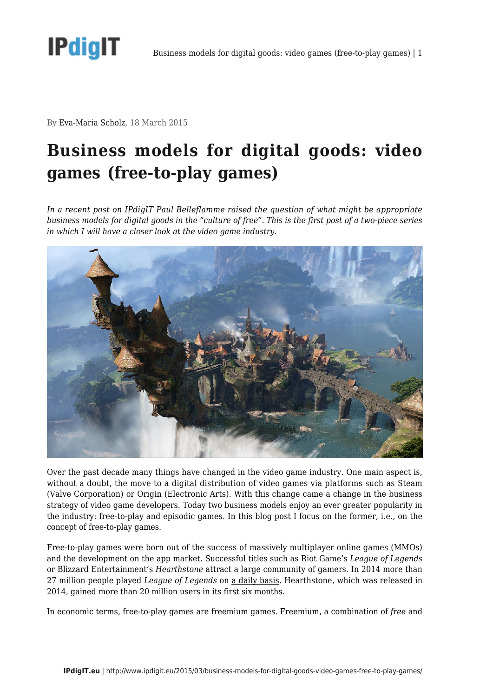

By Eva-Maria Scholz, 18 March 2015

## **Business models for digital goods: video games (free-to-play games)**

*In [a recent post](http://www.ipdigit.eu/2014/12/business-models-for-digital-goods-in-the-face-of-the-culture-of-free/) on IPdigIT Paul Belleflamme raised the question of what might be appropriate business models for digital goods in the "culture of free". This is the first post of a two-piece series in which I will have a closer look at the video game industry.* 



Over the past decade many things have changed in the video game industry. One main aspect is, without a doubt, the move to a digital distribution of video games via platforms such as Steam (Valve Corporation) or Origin (Electronic Arts). With this change came a change in the business strategy of video game developers. Today two business models enjoy an ever greater popularity in the industry: free-to-play and episodic games. In this blog post I focus on the former, i.e., on the concept of free-to-play games.

Free-to-play games were born out of the success of massively multiplayer online games (MMOs) and the development on the app market. Successful titles such as Riot Game's *League of Legends* or Blizzard Entertainment's *Hearthstone* attract a large community of gamers. In 2014 more than 27 million people played *League of Legends* on [a daily basis](http://www.riotgames.com/articles/20140711/1322/league-players-reach-new-heights-2014). Hearthstone, which was released in 2014, gained [more than 20 million users](https://twitter.com/PlayHearthstone/status/511561081991348224) in its first six months.

In economic terms, free-to-play games are freemium games. Freemium, a combination of *free* and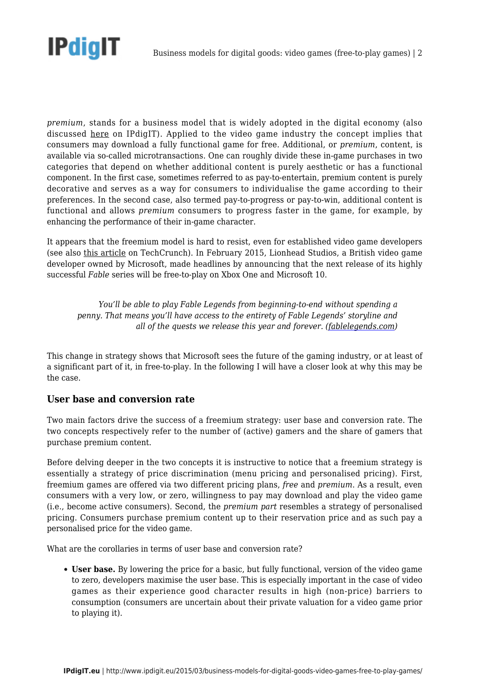

*premium*, stands for a business model that is widely adopted in the digital economy (also discussed [here](http://www.ipdigit.eu/2014/02/prezi-a-successful-freemium-model/) on IPdigIT). Applied to the video game industry the concept implies that consumers may download a fully functional game for free. Additional, or *premium*, content, is available via so-called microtransactions. One can roughly divide these in-game purchases in two categories that depend on whether additional content is purely aesthetic or has a functional component. In the first case, sometimes referred to as pay-to-entertain, premium content is purely decorative and serves as a way for consumers to individualise the game according to their preferences. In the second case, also termed pay-to-progress or pay-to-win, additional content is functional and allows *premium* consumers to progress faster in the game, for example, by enhancing the performance of their in-game character.

It appears that the freemium model is hard to resist, even for established video game developers (see also [this article](http://techcrunch.com/2013/07/19/freemium-is-irresistable-even-for-successful-game-companies/) on TechCrunch). In February 2015, Lionhead Studios, a British video game developer owned by Microsoft, made headlines by announcing that the next release of its highly successful *Fable* series will be free-to-play on Xbox One and Microsoft 10.

*You'll be able to play Fable Legends from beginning-to-end without spending a penny. That means you'll have access to the entirety of Fable Legends' storyline and all of the quests we release this year and forever. ([fablelegends.com\)](http://www.fablelegends.com/)*

This change in strategy shows that Microsoft sees the future of the gaming industry, or at least of a significant part of it, in free-to-play. In the following I will have a closer look at why this may be the case.

## **User base and conversion rate**

Two main factors drive the success of a freemium strategy: user base and conversion rate. The two concepts respectively refer to the number of (active) gamers and the share of gamers that purchase premium content.

Before delving deeper in the two concepts it is instructive to notice that a freemium strategy is essentially a strategy of price discrimination (menu pricing and personalised pricing). First, freemium games are offered via two different pricing plans, *free* and *premium*. As a result, even consumers with a very low, or zero, willingness to pay may download and play the video game (i.e., become active consumers). Second, the *premium part* resembles a strategy of personalised pricing. Consumers purchase premium content up to their reservation price and as such pay a personalised price for the video game.

What are the corollaries in terms of user base and conversion rate?

**User base.** By lowering the price for a basic, but fully functional, version of the video game to zero, developers maximise the user base. This is especially important in the case of video games as their experience good character results in high (non-price) barriers to consumption (consumers are uncertain about their private valuation for a video game prior to playing it).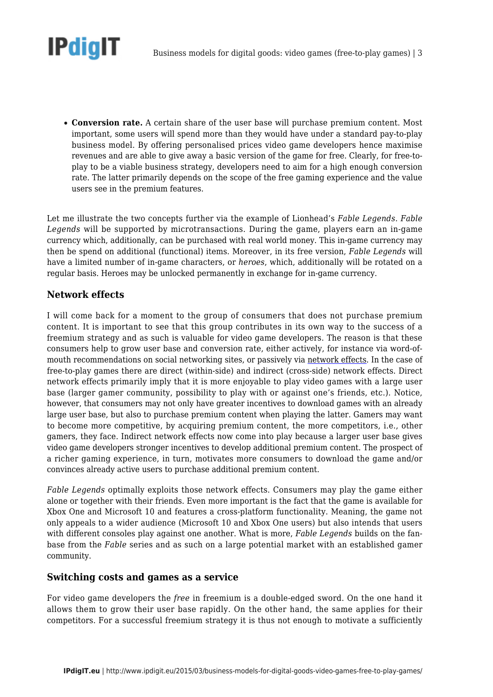

**Conversion rate.** A certain share of the user base will purchase premium content. Most important, some users will spend more than they would have under a standard pay-to-play business model. By offering personalised prices video game developers hence maximise revenues and are able to give away a basic version of the game for free. Clearly, for free-toplay to be a viable business strategy, developers need to aim for a high enough conversion rate. The latter primarily depends on the scope of the free gaming experience and the value users see in the premium features.

Let me illustrate the two concepts further via the example of Lionhead's *Fable Legends*. *Fable Legends* will be supported by microtransactions. During the game, players earn an in-game currency which, additionally, can be purchased with real world money. This in-game currency may then be spend on additional (functional) items. Moreover, in its free version, *Fable Legends* will have a limited number of in-game characters, or *heroes*, which, additionally will be rotated on a regular basis. Heroes may be unlocked permanently in exchange for in-game currency.

## **Network effects**

I will come back for a moment to the group of consumers that does not purchase premium content. It is important to see that this group contributes in its own way to the success of a freemium strategy and as such is valuable for video game developers. The reason is that these consumers help to grow user base and conversion rate, either actively, for instance via word-ofmouth recommendations on social networking sites, or passively via [network effects.](http://www.ipdigit.eu/tag/network-effects/) In the case of free-to-play games there are direct (within-side) and indirect (cross-side) network effects. Direct network effects primarily imply that it is more enjoyable to play video games with a large user base (larger gamer community, possibility to play with or against one's friends, etc.). Notice, however, that consumers may not only have greater incentives to download games with an already large user base, but also to purchase premium content when playing the latter. Gamers may want to become more competitive, by acquiring premium content, the more competitors, i.e., other gamers, they face. Indirect network effects now come into play because a larger user base gives video game developers stronger incentives to develop additional premium content. The prospect of a richer gaming experience, in turn, motivates more consumers to download the game and/or convinces already active users to purchase additional premium content.

*Fable Legends* optimally exploits those network effects. Consumers may play the game either alone or together with their friends. Even more important is the fact that the game is available for Xbox One and Microsoft 10 and features a cross-platform functionality. Meaning, the game not only appeals to a wider audience (Microsoft 10 and Xbox One users) but also intends that users with different consoles play against one another. What is more, *Fable Legends* builds on the fanbase from the *Fable* series and as such on a large potential market with an established gamer community.

## **Switching costs and games as a service**

For video game developers the *free* in freemium is a double-edged sword. On the one hand it allows them to grow their user base rapidly. On the other hand, the same applies for their competitors. For a successful freemium strategy it is thus not enough to motivate a sufficiently